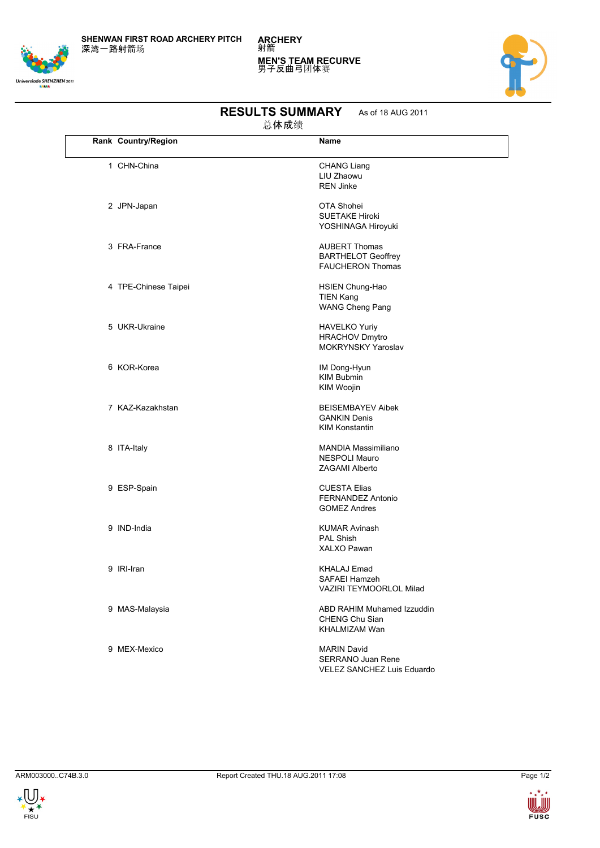**SHENWAN FIRST ROAD ARCHERY PITCH** 深湾一路射箭场

**ARCHERY** 射箭 **MEN'S TEAM RECURVE** 男子反曲弓团体赛





| 总体成绩 |                      |                                                                              |  |
|------|----------------------|------------------------------------------------------------------------------|--|
|      | Rank Country/Region  | Name                                                                         |  |
|      | 1 CHN-China          | <b>CHANG Liang</b>                                                           |  |
|      |                      | LIU Zhaowu<br><b>REN Jinke</b>                                               |  |
|      | 2 JPN-Japan          | OTA Shohei<br><b>SUETAKE Hiroki</b><br>YOSHINAGA Hiroyuki                    |  |
|      | 3 FRA-France         | <b>AUBERT Thomas</b><br><b>BARTHELOT Geoffrey</b><br><b>FAUCHERON Thomas</b> |  |
|      | 4 TPE-Chinese Taipei | HSIEN Chung-Hao<br><b>TIEN Kang</b><br><b>WANG Cheng Pang</b>                |  |
|      | 5 UKR-Ukraine        | <b>HAVELKO Yuriy</b><br><b>HRACHOV Dmytro</b><br><b>MOKRYNSKY Yaroslav</b>   |  |
|      | 6 KOR-Korea          | IM Dong-Hyun<br><b>KIM Bubmin</b><br>KIM Woojin                              |  |
|      | 7 KAZ-Kazakhstan     | <b>BEISEMBAYEV Aibek</b><br><b>GANKIN Denis</b><br><b>KIM Konstantin</b>     |  |
|      | 8 ITA-Italy          | <b>MANDIA Massimiliano</b><br><b>NESPOLI Mauro</b><br>ZAGAMI Alberto         |  |
|      | 9 ESP-Spain          | <b>CUESTA Elias</b><br>FERNANDEZ Antonio<br><b>GOMEZ Andres</b>              |  |
|      | 9 IND-India          | <b>KUMAR Avinash</b><br><b>PAL Shish</b><br><b>XALXO Pawan</b>               |  |
|      | 9 IRI-Iran           | KHALAJ Emad<br>SAFAEI Hamzeh<br>VAZIRI TEYMOORLOL Milad                      |  |
|      | 9 MAS-Malaysia       | ABD RAHIM Muhamed Izzuddin<br>CHENG Chu Sian<br><b>KHALMIZAM Wan</b>         |  |
|      | 9 MEX-Mexico         | <b>MARIN David</b><br>SERRANO Juan Rene                                      |  |

## **RESULTS SUMMARY** As of 18 AUG 2011

VELEZ SANCHEZ Luis Eduardo